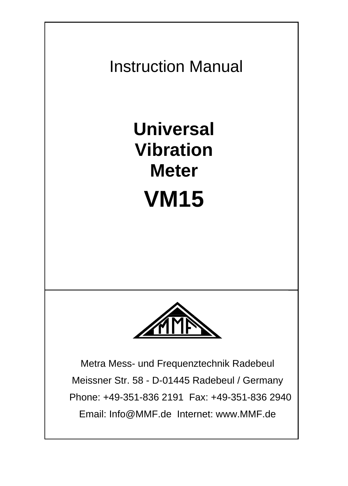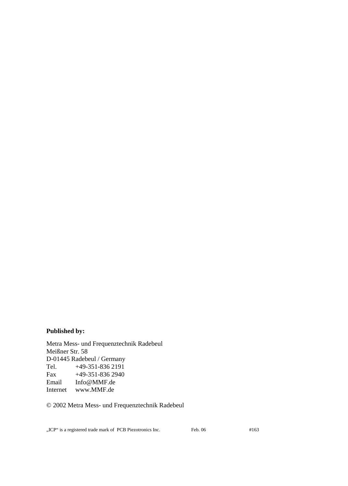#### **Published by:**

Metra Mess- und Frequenztechnik Radebeul Meißner Str. 58 D-01445 Radebeul / Germany Tel. +49-351-836 2191 Fax +49-351-836 2940 Email Info@MMF.de Internet www.MMF.de

#### © 2002 Metra Mess- und Frequenztechnik Radebeul

"ICP" is a registered trade mark of PCB Piezotronics Inc. Feb. 06 #163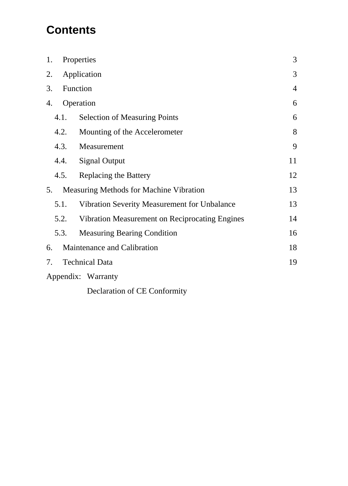# **Contents**

| 1. |      | Properties                                     | 3              |
|----|------|------------------------------------------------|----------------|
| 2. |      | Application                                    | 3              |
| 3. |      | Function                                       | $\overline{4}$ |
| 4. |      | Operation                                      | 6              |
|    | 4.1. | Selection of Measuring Points                  | 6              |
|    | 4.2. | Mounting of the Accelerometer                  | 8              |
|    | 4.3. | Measurement                                    | 9              |
|    | 4.4. | <b>Signal Output</b>                           | 11             |
|    | 4.5. | Replacing the Battery                          | 12             |
| 5. |      | Measuring Methods for Machine Vibration        | 13             |
|    | 5.1. | Vibration Severity Measurement for Unbalance   | 13             |
|    | 5.2. | Vibration Measurement on Reciprocating Engines | 14             |
|    | 5.3. | <b>Measuring Bearing Condition</b>             | 16             |
| 6. |      | Maintenance and Calibration                    | 18             |
| 7. |      | <b>Technical Data</b>                          | 19             |
|    |      | Appendix: Warranty                             |                |

Declaration of CE Conformity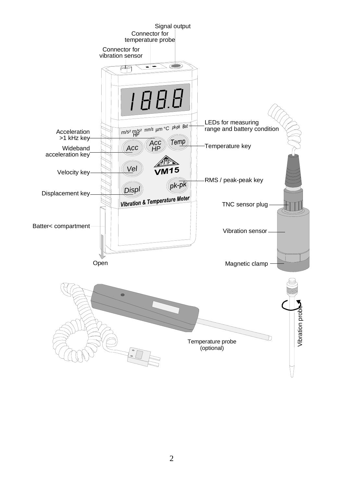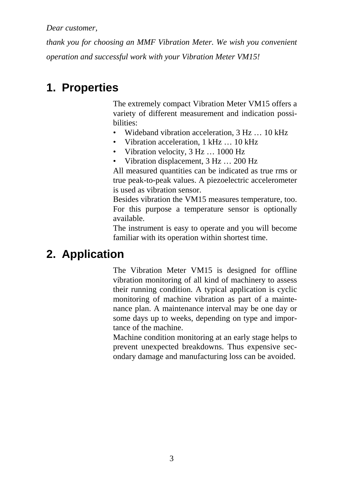*Dear customer,* 

*thank you for choosing an MMF Vibration Meter. We wish you convenient operation and successful work with your Vibration Meter VM15!* 

# **1. Properties**

The extremely compact Vibration Meter VM15 offers a variety of different measurement and indication possibilities:

- Wideband vibration acceleration, 3 Hz ... 10 kHz
- Vibration acceleration, 1 kHz ... 10 kHz
- Vibration velocity, 3 Hz ... 1000 Hz
- Vibration displacement,  $3 \text{ Hz} \dots 200 \text{ Hz}$

All measured quantities can be indicated as true rms or true peak-to-peak values. A piezoelectric accelerometer is used as vibration sensor.

Besides vibration the VM15 measures temperature, too. For this purpose a temperature sensor is optionally available.

The instrument is easy to operate and you will become familiar with its operation within shortest time.

# **2. Application**

The Vibration Meter VM15 is designed for offline vibration monitoring of all kind of machinery to assess their running condition. A typical application is cyclic monitoring of machine vibration as part of a maintenance plan. A maintenance interval may be one day or some days up to weeks, depending on type and importance of the machine.

Machine condition monitoring at an early stage helps to prevent unexpected breakdowns. Thus expensive secondary damage and manufacturing loss can be avoided.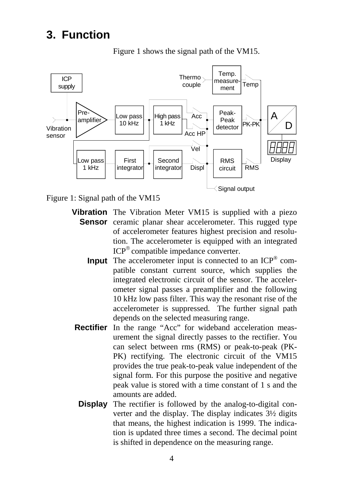# **3. Function**



Figure 1 shows the signal path of the VM15.

Figure 1: Signal path of the VM15

- **Vibration**  The Vibration Meter VM15 is supplied with a piezo Sensor ceramic planar shear accelerometer. This rugged type of accelerometer features highest precision and resolution. The accelerometer is equipped with an integrated ICP® compatible impedance converter.
	- **Input** The accelerometer input is connected to an ICP<sup>®</sup> compatible constant current source, which supplies the integrated electronic circuit of the sensor. The accelerometer signal passes a preamplifier and the following 10 kHz low pass filter. This way the resonant rise of the accelerometer is suppressed. The further signal path depends on the selected measuring range.
- **Rectifier** In the range "Acc" for wideband acceleration measurement the signal directly passes to the rectifier. You can select between rms (RMS) or peak-to-peak (PK-PK) rectifying. The electronic circuit of the VM15 provides the true peak-to-peak value independent of the signal form. For this purpose the positive and negative peak value is stored with a time constant of 1 s and the amounts are added.
	- **Display** The rectifier is followed by the analog-to-digital converter and the display. The display indicates 3½ digits that means, the highest indication is 1999. The indication is updated three times a second. The decimal point is shifted in dependence on the measuring range.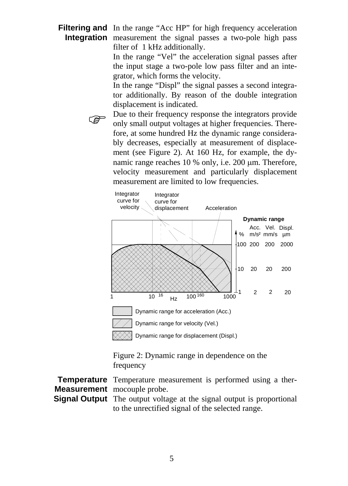Filtering and In the range "Acc HP" for high frequency acceleration **Integration** measurement the signal passes a two-pole high pass filter of 1 kHz additionally.

> In the range "Vel" the acceleration signal passes after the input stage a two-pole low pass filter and an integrator, which forms the velocity.

> In the range "Displ" the signal passes a second integrator additionally. By reason of the double integration displacement is indicated.

Due to their frequency response the integrators provide<br>only small output voltages at higher frequencies. There-<br>frequencies of the state of the distribution of the state of the state of the state of the state of the state fore, at some hundred Hz the dynamic range considerably decreases, especially at measurement of displacement (see Figure 2). At 160 Hz, for example, the dynamic range reaches 10 % only, i.e. 200  $\mu$ m. Therefore, velocity measurement and particularly displacement measurement are limited to low frequencies.



Figure 2: Dynamic range in dependence on the frequency

**Temperature** Temperature measurement is performed using a ther-**Measurement** mocouple probe.

**Signal Output** The output voltage at the signal output is proportional to the unrectified signal of the selected range.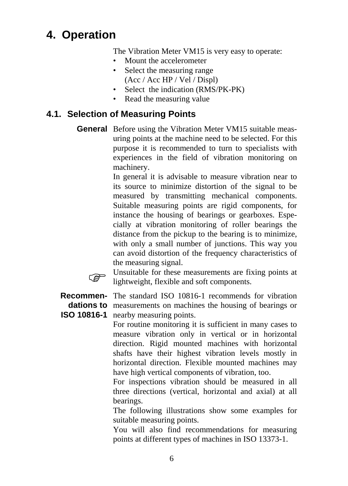# **4. Operation**

The Vibration Meter VM15 is very easy to operate:

- Mount the accelerometer
- Select the measuring range
- (Acc / Acc HP / Vel / Displ)
- Select the indication (RMS/PK-PK)
- Read the measuring value

## **4.1. Selection of Measuring Points**

**General** Before using the Vibration Meter VM15 suitable measuring points at the machine need to be selected. For this purpose it is recommended to turn to specialists with experiences in the field of vibration monitoring on machinery.

> In general it is advisable to measure vibration near to its source to minimize distortion of the signal to be measured by transmitting mechanical components. Suitable measuring points are rigid components, for instance the housing of bearings or gearboxes. Especially at vibration monitoring of roller bearings the distance from the pickup to the bearing is to minimize, with only a small number of junctions. This way you can avoid distortion of the frequency characteristics of the measuring signal.



Unsuitable for these measurements are fixing points at lightweight, flexible and soft components.

**Recommen-**The standard ISO 10816-1 recommends for vibration **dations to**  measurements on machines the housing of bearings or **ISO 10816-1** nearby measuring points.

For routine monitoring it is sufficient in many cases to measure vibration only in vertical or in horizontal direction. Rigid mounted machines with horizontal shafts have their highest vibration levels mostly in horizontal direction. Flexible mounted machines may have high vertical components of vibration, too.

For inspections vibration should be measured in all three directions (vertical, horizontal and axial) at all bearings.

The following illustrations show some examples for suitable measuring points.

You will also find recommendations for measuring points at different types of machines in ISO 13373-1.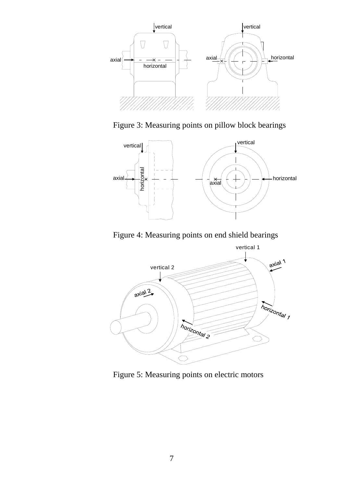

Figure 3: Measuring points on pillow block bearings



Figure 4: Measuring points on end shield bearings



Figure 5: Measuring points on electric motors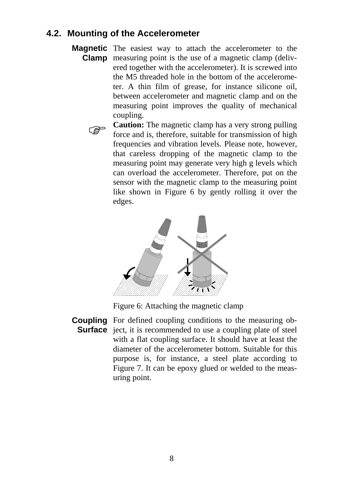#### **4.2. Mounting of the Accelerometer**

**Magnetic** The easiest way to attach the accelerometer to the **Clamp** measuring point is the use of a magnetic clamp (delivered together with the accelerometer). It is screwed into the M5 threaded hole in the bottom of the accelerometer. A thin film of grease, for instance silicone oil, between accelerometer and magnetic clamp and on the measuring point improves the quality of mechanical coupling.



**Caution:** The magnetic clamp has a very strong pulling force and is, therefore, suitable for transmission of high frequencies and vibration levels. Please note, however, that careless dropping of the magnetic clamp to the measuring point may generate very high g levels which can overload the accelerometer. Therefore, put on the sensor with the magnetic clamp to the measuring point like shown in Figure 6 by gently rolling it over the edges.



Figure 6: Attaching the magnetic clamp

**Coupling**  For defined coupling conditions to the measuring ob-**Surface** ject, it is recommended to use a coupling plate of steel with a flat coupling surface. It should have at least the diameter of the accelerometer bottom. Suitable for this purpose is, for instance, a steel plate according to Figure 7. It can be epoxy glued or welded to the measuring point.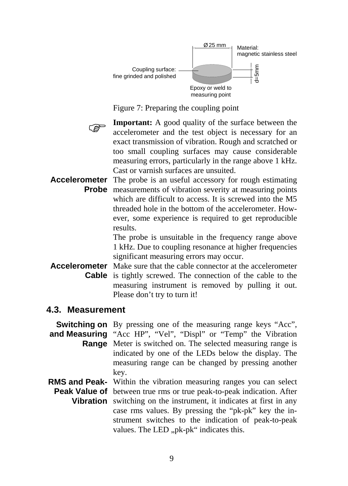

Figure 7: Preparing the coupling point

**Important:** A good quality of the surface between the accelerometer and the test object is necessary for an exact transmission of vibration. Rough and scratched or too small coupling surfaces may cause considerable measuring errors, particularly in the range above 1 kHz. Cast or varnish surfaces are unsuited.

Accelerometer The probe is an useful accessory for rough estimating **Probe** measurements of vibration severity at measuring points which are difficult to access. It is screwed into the M5 threaded hole in the bottom of the accelerometer. However, some experience is required to get reproducible results.

> The probe is unsuitable in the frequency range above 1 kHz. Due to coupling resonance at higher frequencies significant measuring errors may occur.

Accelerometer Make sure that the cable connector at the accelerometer  **Cable** is tightly screwed. The connection of the cable to the measuring instrument is removed by pulling it out. Please don't try to turn it!

#### **4.3. Measurement**

**Switching on** By pressing one of the measuring range keys "Acc", **and Measuring**  "Acc HP", "Vel", "Displ" or "Temp" the Vibration **Range** Meter is switched on. The selected measuring range is indicated by one of the LEDs below the display. The measuring range can be changed by pressing another key.

**RMS and Peak-**Within the vibration measuring ranges you can select Peak Value of between true rms or true peak-to-peak indication. After **Vibration** switching on the instrument, it indicates at first in any case rms values. By pressing the "pk-pk" key the instrument switches to the indication of peak-to-peak values. The LED "pk-pk" indicates this.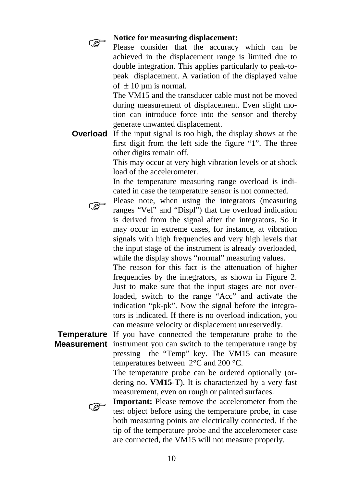

**See Solution**<br> **Please consider that the accuracy which can be**<br> **Please consider that the accuracy which can be** achieved in the displacement range is limited due to double integration. This applies particularly to peak-topeak displacement. A variation of the displayed value of  $\pm 10$  um is normal.

> The VM15 and the transducer cable must not be moved during measurement of displacement. Even slight motion can introduce force into the sensor and thereby generate unwanted displacement.

**Overload** If the input signal is too high, the display shows at the first digit from the left side the figure "1". The three other digits remain off.

> This may occur at very high vibration levels or at shock load of the accelerometer.

> In the temperature measuring range overload is indicated in case the temperature sensor is not connected.



Please note, when using the integrators (measuring ranges "Vel" and "Displ") that the overload indication is derived from the signal after the integrators. So it may occur in extreme cases, for instance, at vibration signals with high frequencies and very high levels that the input stage of the instrument is already overloaded, while the display shows "normal" measuring values.

> The reason for this fact is the attenuation of higher frequencies by the integrators, as shown in Figure 2. Just to make sure that the input stages are not overloaded, switch to the range "Acc" and activate the indication "pk-pk". Now the signal before the integrators is indicated. If there is no overload indication, you can measure velocity or displacement unreservedly.

**Temperature** If you have connected the temperature probe to the **Measurement** instrument you can switch to the temperature range by pressing the "Temp" key. The VM15 can measure temperatures between 2°C and 200 °C.

The temperature probe can be ordered optionally (ordering no. **VM15-T**). It is characterized by a very fast measurement, even on rough or painted surfaces.



**Important:** Please remove the accelerometer from the test object before using the temperature probe, in case both measuring points are electrically connected. If the tip of the temperature probe and the accelerometer case are connected, the VM15 will not measure properly.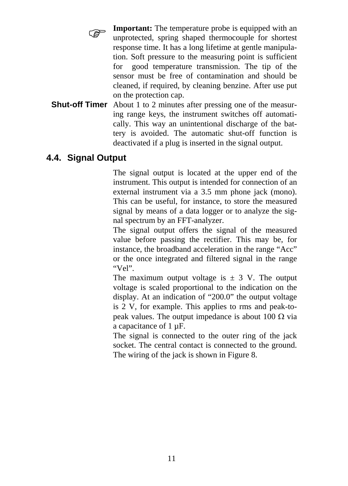

**Important:** The temperature probe is equipped with an unprotected, spring shaped thermocouple for shortest response time. It has a long lifetime at gentle manipulation. Soft pressure to the measuring point is sufficient for good temperature transmission. The tip of the sensor must be free of contamination and should be cleaned, if required, by cleaning benzine. After use put on the protection cap.

**Shut-off Timer** About 1 to 2 minutes after pressing one of the measuring range keys, the instrument switches off automatically. This way an unintentional discharge of the battery is avoided. The automatic shut-off function is deactivated if a plug is inserted in the signal output.

#### **4.4. Signal Output**

The signal output is located at the upper end of the instrument. This output is intended for connection of an external instrument via a 3.5 mm phone jack (mono). This can be useful, for instance, to store the measured signal by means of a data logger or to analyze the signal spectrum by an FFT-analyzer.

The signal output offers the signal of the measured value before passing the rectifier. This may be, for instance, the broadband acceleration in the range "Acc" or the once integrated and filtered signal in the range "Vel".

The maximum output voltage is  $\pm$  3 V. The output voltage is scaled proportional to the indication on the display. At an indication of "200.0" the output voltage is 2 V, for example. This applies to rms and peak-topeak values. The output impedance is about 100 Ω via a capacitance of 1 µF.

The signal is connected to the outer ring of the jack socket. The central contact is connected to the ground. The wiring of the jack is shown in Figure 8.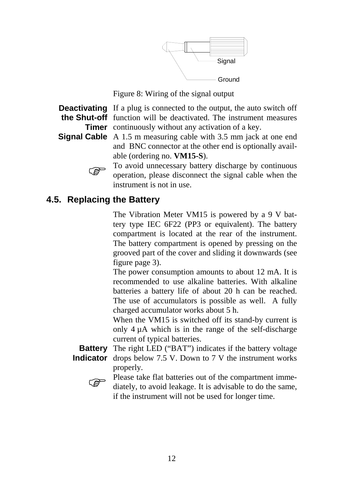

Figure 8: Wiring of the signal output

**Deactivating** If a plug is connected to the output, the auto switch off **the Shut-off**  function will be deactivated. The instrument measures **Timer** continuously without any activation of a key.

**Signal Cable** A 1.5 m measuring cable with 3.5 mm jack at one end and BNC connector at the other end is optionally available (ordering no. **VM15-S**).

To avoid unnecessary battery discharge by continuous operation, please disconnect the signal cable when the instrument is not in use.

## **4.5. Replacing the Battery**

The Vibration Meter VM15 is powered by a 9 V battery type IEC 6F22 (PP3 or equivalent). The battery compartment is located at the rear of the instrument. The battery compartment is opened by pressing on the grooved part of the cover and sliding it downwards (see figure page 3).

The power consumption amounts to about 12 mA. It is recommended to use alkaline batteries. With alkaline batteries a battery life of about 20 h can be reached. The use of accumulators is possible as well. A fully charged accumulator works about 5 h.

When the VM15 is switched off its stand-by current is only 4 µA which is in the range of the self-discharge current of typical batteries.

**Battery** The right LED ("BAT") indicates if the battery voltage **Indicator** drops below 7.5 V. Down to 7 V the instrument works properly.



Please take flat batteries out of the compartment imme-<br>diately, to avoid leakage. It is advisable to do the same, if the instrument will not be used for longer time.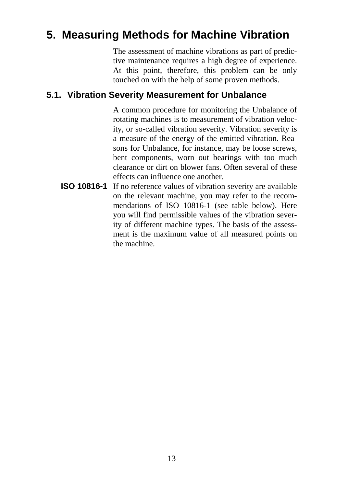# **5. Measuring Methods for Machine Vibration**

The assessment of machine vibrations as part of predictive maintenance requires a high degree of experience. At this point, therefore, this problem can be only touched on with the help of some proven methods.

#### **5.1. Vibration Severity Measurement for Unbalance**

A common procedure for monitoring the Unbalance of rotating machines is to measurement of vibration velocity, or so-called vibration severity. Vibration severity is a measure of the energy of the emitted vibration. Reasons for Unbalance, for instance, may be loose screws, bent components, worn out bearings with too much clearance or dirt on blower fans. Often several of these effects can influence one another.

**ISO 10816-1** If no reference values of vibration severity are available on the relevant machine, you may refer to the recommendations of ISO 10816-1 (see table below). Here you will find permissible values of the vibration severity of different machine types. The basis of the assessment is the maximum value of all measured points on the machine.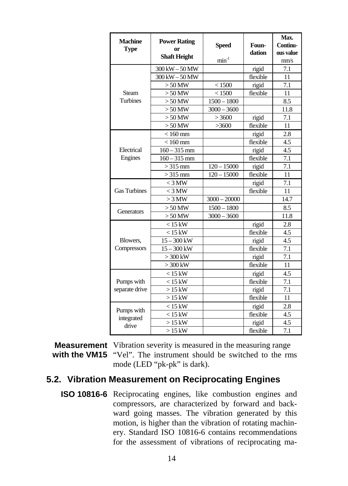| <b>Machine</b><br><b>Type</b> | <b>Power Rating</b><br><sub>or</sub><br><b>Shaft Height</b> | <b>Speed</b>   | Foun-<br>dation | Max.<br>Continu-<br>ous value |
|-------------------------------|-------------------------------------------------------------|----------------|-----------------|-------------------------------|
|                               |                                                             | $min-1$        |                 | mm/s                          |
|                               | 300 kW - 50 MW                                              |                | rigid           | 7.1                           |
|                               | 300 kW - 50 MW                                              |                | flexible        | 11                            |
|                               | $>50$ MW                                                    | < 1500         | rigid           | 7.1                           |
| Steam                         | $>50$ MW                                                    | < 1500         | flexible        | 11                            |
| <b>Turbines</b>               | $>50$ MW                                                    | $1500 - 1800$  |                 | 8.5                           |
|                               | $>50$ MW                                                    | $3000 - 3600$  |                 | 11.8                          |
|                               | $>50$ MW                                                    | >3600          | rigid           | 7.1                           |
|                               | $>50$ MW                                                    | >3600          | flexible        | 11                            |
|                               | $< 160$ mm                                                  |                | rigid           | 2.8                           |
|                               | $< 160$ mm                                                  |                | flexible        | 4.5                           |
| Electrical                    | $160 - 315$ mm                                              |                | rigid           | 4.5                           |
| Engines                       | $160 - 315$ mm                                              |                | flexible        | 7.1                           |
|                               | $>315$ mm                                                   | $120 - 15000$  | rigid           | 7.1                           |
|                               | $>315$ mm                                                   | $120 - 15000$  | flexible        | 11                            |
|                               | $<$ 3 MW                                                    |                | rigid           | 7.1                           |
| <b>Gas Turbines</b>           | $<$ 3 MW                                                    |                | flexible        | 11                            |
|                               | $>$ 3 MW                                                    | $3000 - 20000$ |                 | 14.7                          |
| <b>Generators</b>             | $>50$ MW                                                    | $1500 - 1800$  |                 | 8.5                           |
|                               | $> 50$ MW                                                   | $3000 - 3600$  |                 | 11.8                          |
|                               | $< 15$ kW                                                   |                | rigid           | 2.8                           |
|                               | $< 15$ kW                                                   |                | flexible        | 4.5                           |
| Blowers.                      | $15 - 300$ kW                                               |                | rigid           | $\overline{4.5}$              |
| Compressors                   | $15 - 300$ kW                                               |                | flexible        | 7.1                           |
|                               | $>300$ kW                                                   |                | rigid           | 7.1                           |
|                               | $>300$ kW                                                   |                | flexible        | 11                            |
|                               | $< 15$ kW                                                   |                | rigid           | 4.5                           |
| Pumps with                    | $<$ 15 kW                                                   |                | flexible        | 7.1                           |
| separate drive                | $>15$ kW                                                    |                | rigid           | 7.1                           |
|                               | $>15$ kW                                                    |                | flexible        | 11                            |
|                               | $< 15$ kW                                                   |                | rigid           | 2.8                           |
| Pumps with                    | $< 15$ kW                                                   |                | flexible        | 4.5                           |
| integrated<br>drive           | $>15$ kW                                                    |                | rigid           | 4.5                           |
|                               | $>15$ kW                                                    |                | flexible        | 7.1                           |

## **Measurement**  Vibration severity is measured in the measuring range with the VM15 "Vel". The instrument should be switched to the rms

mode (LED "pk-pk" is dark).

#### **5.2. Vibration Measurement on Reciprocating Engines**

 **ISO 10816-6** Reciprocating engines, like combustion engines and compressors, are characterized by forward and backward going masses. The vibration generated by this motion, is higher than the vibration of rotating machinery. Standard ISO 10816-6 contains recommendations for the assessment of vibrations of reciprocating ma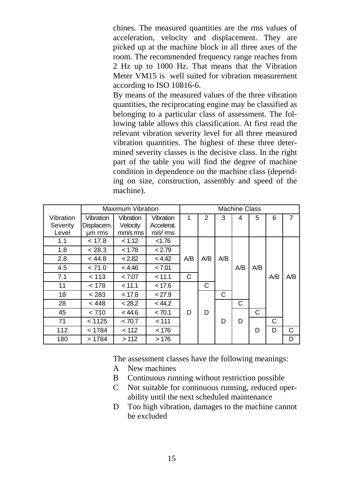chines. The measured quantities are the rms values of acceleration, velocity and displacement. They are picked up at the machine block in all three axes of the room. The recommended frequency range reaches from 2 Hz up to 1000 Hz. That means that the Vibration Meter VM15 is well suited for vibration measurement according to ISO 10816-6.

By means of the measured values of the three vibration quantities, the reciprocating engine may be classified as belonging to a particular class of assessment. The following table allows this classification. At first read the relevant vibration severity level for all three measured vibration quantities. The highest of these three determined severity classes is the decisive class. In the right part of the table you will find the degree of machine condition in dependence on the machine class (depending on size, construction, assembly and speed of the machine).

|           |            | Maximum Vibration |                     |     |     |     | <b>Machine Class</b> |     |     |     |
|-----------|------------|-------------------|---------------------|-----|-----|-----|----------------------|-----|-----|-----|
| Vibration | Vibration  | Vibration         | Vibration           | 1   | 2   | 3   | 4                    | 5   | 6   | 7   |
| Severity  | Displacem. | Velocity          | Accelerat.          |     |     |     |                      |     |     |     |
| Level     | um rms     | mm/s rms          | m/s <sup>2</sup> ms |     |     |     |                      |     |     |     |
| 1.1       | < 17.8     | < 1.12            | < 1.76              |     |     |     |                      |     |     |     |
| 1.8       | < 28.3     | < 1.78            | < 2.79              |     |     |     |                      |     |     |     |
| 2.8       | < 44.8     | < 2.82            | < 4.42              | A/B | A/B | A/B |                      |     |     |     |
| 4.5       | < 71.0     | < 4.46            | < 7.01              |     |     |     | A/B                  | A/B |     |     |
| 7.1       | < 113      | < 7.07            | < 11.1              | C   |     |     |                      |     | A/B | A/B |
| 11        | < 178      | < 11.1            | < 17.6              |     | С   |     |                      |     |     |     |
| 18        | < 283      | < 17.8            | < 27.9              |     |     | C   |                      |     |     |     |
| 28        | < 448      | < 28.2            | < 44.2              |     |     |     | C                    |     |     |     |
| 45        | < 710      | < 44.6            | < 70.1              | D   | D   |     |                      | C   |     |     |
| 71        | < 1125     | < 70.7            | < 111               |     |     | D   | D                    |     | С   |     |
| 112       | < 1784     | < 112             | < 176               |     |     |     |                      | D   | D   | C   |
| 180       | >1784      | >112              | >176                |     |     |     |                      |     |     | D   |

The assessment classes have the following meanings:

- A New machines
- B Continuous running without restriction possible
- C Not suitable for continuous running, reduced operability until the next scheduled maintenance
- D Too high vibration, damages to the machine cannot be excluded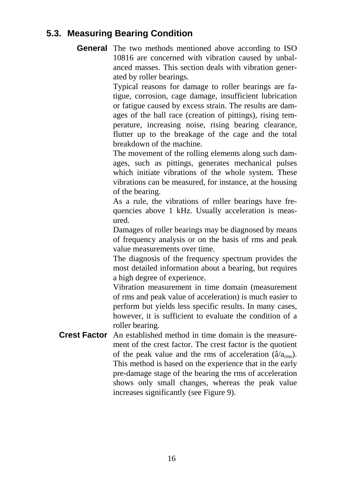#### **5.3. Measuring Bearing Condition**

**General** The two methods mentioned above according to ISO 10816 are concerned with vibration caused by unbalanced masses. This section deals with vibration generated by roller bearings.

> Typical reasons for damage to roller bearings are fatigue, corrosion, cage damage, insufficient lubrication or fatigue caused by excess strain. The results are damages of the ball race (creation of pittings), rising temperature, increasing noise, rising bearing clearance, flutter up to the breakage of the cage and the total breakdown of the machine.

> The movement of the rolling elements along such damages, such as pittings, generates mechanical pulses which initiate vibrations of the whole system. These vibrations can be measured, for instance, at the housing of the bearing.

> As a rule, the vibrations of roller bearings have frequencies above 1 kHz. Usually acceleration is measured.

> Damages of roller bearings may be diagnosed by means of frequency analysis or on the basis of rms and peak value measurements over time.

> The diagnosis of the frequency spectrum provides the most detailed information about a bearing, but requires a high degree of experience.

> Vibration measurement in time domain (measurement of rms and peak value of acceleration) is much easier to perform but yields less specific results. In many cases, however, it is sufficient to evaluate the condition of a roller bearing.

**Crest Factor** An established method in time domain is the measurement of the crest factor. The crest factor is the quotient of the peak value and the rms of acceleration ( $\hat{a}/a_{\rm rms}$ ). This method is based on the experience that in the early pre-damage stage of the bearing the rms of acceleration shows only small changes, whereas the peak value increases significantly (see Figure 9).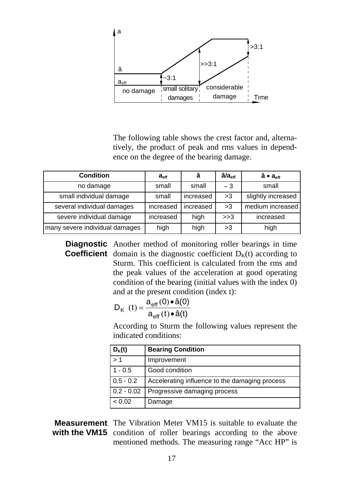

The following table shows the crest factor and, alternatively, the product of peak and rms values in dependence on the degree of the bearing damage.

| <b>Condition</b>               | a <sub>eff</sub> | â         | â/a <sub>eff</sub> | â ● a <sub>eff</sub> |
|--------------------------------|------------------|-----------|--------------------|----------------------|
| no damage                      | small            | small     | $\sim$ 3           | small                |
| small individual damage        | small            | increased | >3                 | slightly increased   |
| several individual damages     | increased        | increased | >3                 | medium increased     |
| severe individual damage       | increased        | high      | >>3                | increased            |
| many severe individual damages | high             | high      | >3                 | high                 |

**Diagnostic** Another method of monitoring roller bearings in time **Coefficient** domain is the diagnostic coefficient  $D_K(t)$  according to Sturm. This coefficient is calculated from the rms and the peak values of the acceleration at good operating condition of the bearing (initial values with the index 0) and at the present condition (index t):

$$
D_{K} (t) = \frac{a_{\text{eff}}(0) \cdot \hat{a}(0)}{a_{\text{eff}}(t) \cdot \hat{a}(t)}
$$

According to Sturm the following values represent the indicated conditions:

| $D_{K}(t)$   | <b>Bearing Condition</b>                       |
|--------------|------------------------------------------------|
| >1           | Improvement                                    |
| $1 - 0.5$    | Good condition                                 |
| $0.5 - 0.2$  | Accelerating influence to the damaging process |
| $0.2 - 0.02$ | Progressive damaging process                   |
| < 0.02       | Damage                                         |

**Measurement**  The Vibration Meter VM15 is suitable to evaluate the with the VM15 condition of roller bearings according to the above mentioned methods. The measuring range "Acc HP" is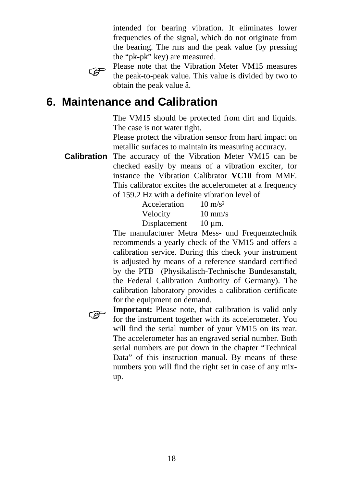intended for bearing vibration. It eliminates lower frequencies of the signal, which do not originate from the bearing. The rms and the peak value (by pressing the "pk-pk" key) are measured.



Please note that the Vibration Meter VM15 measures<br>the peak-to-peak value. This value is divided by two to obtain the peak value â.

# **6. Maintenance and Calibration**

The VM15 should be protected from dirt and liquids. The case is not water tight.

Please protect the vibration sensor from hard impact on metallic surfaces to maintain its measuring accuracy.

**Calibration** The accuracy of the Vibration Meter VM15 can be checked easily by means of a vibration exciter, for instance the Vibration Calibrator **VC10** from MMF. This calibrator excites the accelerometer at a frequency of 159.2 Hz with a definite vibration level of

| Acceleration | $10 \text{ m/s}^2$ |
|--------------|--------------------|
| Velocity     | $10 \text{ mm/s}$  |
| Displacement | $10 \mu m$ .       |

The manufacturer Metra Mess- und Frequenztechnik recommends a yearly check of the VM15 and offers a calibration service. During this check your instrument is adjusted by means of a reference standard certified by the PTB (Physikalisch-Technische Bundesanstalt, the Federal Calibration Authority of Germany). The calibration laboratory provides a calibration certificate for the equipment on demand.

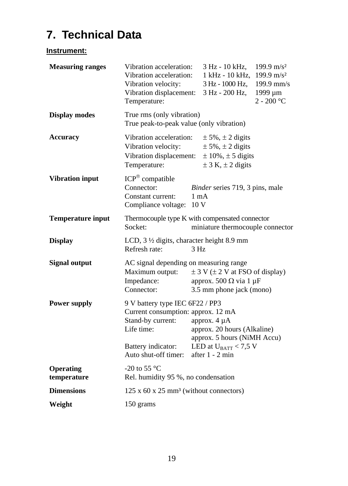# **7. Technical Data**

#### **Instrument:**

| <b>Measuring ranges</b>         | Vibration acceleration:<br>Vibration acceleration:<br>Vibration velocity:<br>Vibration displacement:<br>Temperature: |                | 3 Hz - 10 kHz,<br>1 kHz - 10 kHz,<br>3 Hz - 1000 Hz,<br>3 Hz - 200 Hz,                                                             | 199.9 m/s <sup>2</sup><br>199.9 m/s <sup>2</sup><br>199.9 mm/s<br>1999 μm<br>$2 - 200$ °C |
|---------------------------------|----------------------------------------------------------------------------------------------------------------------|----------------|------------------------------------------------------------------------------------------------------------------------------------|-------------------------------------------------------------------------------------------|
| <b>Display modes</b>            | True rms (only vibration)<br>True peak-to-peak value (only vibration)                                                |                |                                                                                                                                    |                                                                                           |
| <b>Accuracy</b>                 | Vibration acceleration:<br>Vibration velocity:<br>Vibration displacement:<br>Temperature:                            |                | $\pm$ 5%, $\pm$ 2 digits<br>$\pm$ 5%, $\pm$ 2 digits<br>$\pm 10\%$ , $\pm 5$ digits<br>$\pm$ 3 K, $\pm$ 2 digits                   |                                                                                           |
| <b>Vibration input</b>          | $ICP^{\circledR}$ compatible<br>Connector:<br>Constant current:<br>Compliance voltage: 10 V                          | $1 \text{ mA}$ | <i>Binder</i> series 719, 3 pins, male                                                                                             |                                                                                           |
| <b>Temperature input</b>        | Thermocouple type K with compensated connector<br>Socket:                                                            |                | miniature thermocouple connector                                                                                                   |                                                                                           |
| <b>Display</b>                  | LCD, 3 1/2 digits, character height 8.9 mm<br>Refresh rate:                                                          | 3 Hz           |                                                                                                                                    |                                                                                           |
| <b>Signal output</b>            | AC signal depending on measuring range<br>Maximum output:<br>Impedance:<br>Connector:                                |                | $\pm$ 3 V ( $\pm$ 2 V at FSO of display)<br>approx. 500 $\Omega$ via 1 $\mu$ F<br>3.5 mm phone jack (mono)                         |                                                                                           |
| <b>Power supply</b>             | 9 V battery type IEC 6F22 / PP3                                                                                      |                |                                                                                                                                    |                                                                                           |
|                                 | Current consumption: approx. 12 mA<br>Stand-by current:<br>Life time:<br>Battery indicator:<br>Auto shut-off timer:  |                | approx. 4 µA<br>approx. 20 hours (Alkaline)<br>approx. 5 hours (NiMH Accu)<br>LED at $U_{\text{BAT}} < 7.5$ V<br>after $1 - 2$ min |                                                                                           |
| <b>Operating</b><br>temperature | -20 to 55 $^{\circ}$ C<br>Rel. humidity 95 %, no condensation                                                        |                |                                                                                                                                    |                                                                                           |
| <b>Dimensions</b>               | $125 \times 60 \times 25$ mm <sup>3</sup> (without connectors)                                                       |                |                                                                                                                                    |                                                                                           |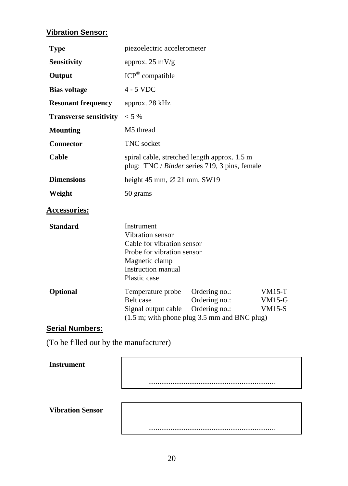#### **Vibration Sensor:**

| <b>Type</b>                   | piezoelectric accelerometer                                                                                                                                                                                 |                                  |  |  |  |
|-------------------------------|-------------------------------------------------------------------------------------------------------------------------------------------------------------------------------------------------------------|----------------------------------|--|--|--|
| <b>Sensitivity</b>            | approx. $25 \text{ mV/g}$                                                                                                                                                                                   |                                  |  |  |  |
| Output                        | $ICP^{\circledR}$ compatible                                                                                                                                                                                |                                  |  |  |  |
| <b>Bias voltage</b>           | $4 - 5$ VDC                                                                                                                                                                                                 |                                  |  |  |  |
| <b>Resonant frequency</b>     | approx. 28 kHz                                                                                                                                                                                              |                                  |  |  |  |
| <b>Transverse sensitivity</b> | $< 5\%$                                                                                                                                                                                                     |                                  |  |  |  |
| <b>Mounting</b>               | M <sub>5</sub> thread                                                                                                                                                                                       |                                  |  |  |  |
| Connector                     | <b>TNC</b> socket                                                                                                                                                                                           |                                  |  |  |  |
| Cable                         | spiral cable, stretched length approx. 1.5 m<br>plug: TNC / Binder series 719, 3 pins, female                                                                                                               |                                  |  |  |  |
| <b>Dimensions</b>             | height 45 mm, $\varnothing$ 21 mm, SW19                                                                                                                                                                     |                                  |  |  |  |
| Weight                        | 50 grams                                                                                                                                                                                                    |                                  |  |  |  |
| <b>Accessories:</b>           |                                                                                                                                                                                                             |                                  |  |  |  |
| <b>Standard</b>               | Instrument<br>Vibration sensor<br>Cable for vibration sensor<br>Probe for vibration sensor<br>Magnetic clamp<br>Instruction manual<br>Plastic case                                                          |                                  |  |  |  |
| Optional                      | Ordering no.:<br>Temperature probe<br>Ordering no.:<br><b>Belt</b> case<br>Ordering no.:<br>Signal output cable<br>$(1.5 \text{ m}; \text{ with phone plug } 3.5 \text{ mm} \text{ and } BNC \text{ plug})$ | $VM15-T$<br>$VM15-G$<br>$VM15-S$ |  |  |  |

#### **Serial Numbers:**

(To be filled out by the manufacturer)

#### **Instrument**

....................................................................

....................................................................

#### **Vibration Sensor**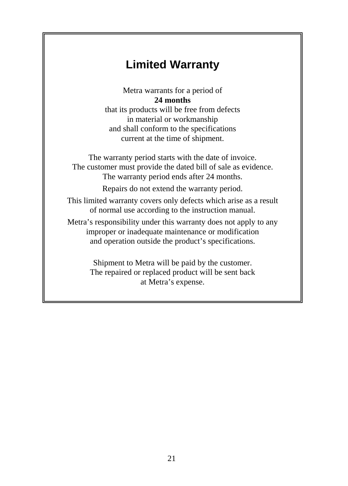# **Limited Warranty**

Metra warrants for a period of **24 months**

that its products will be free from defects in material or workmanship and shall conform to the specifications current at the time of shipment.

The warranty period starts with the date of invoice. The customer must provide the dated bill of sale as evidence. The warranty period ends after 24 months.

Repairs do not extend the warranty period.

This limited warranty covers only defects which arise as a result of normal use according to the instruction manual.

Metra's responsibility under this warranty does not apply to any improper or inadequate maintenance or modification and operation outside the product's specifications.

> Shipment to Metra will be paid by the customer. The repaired or replaced product will be sent back at Metra's expense.